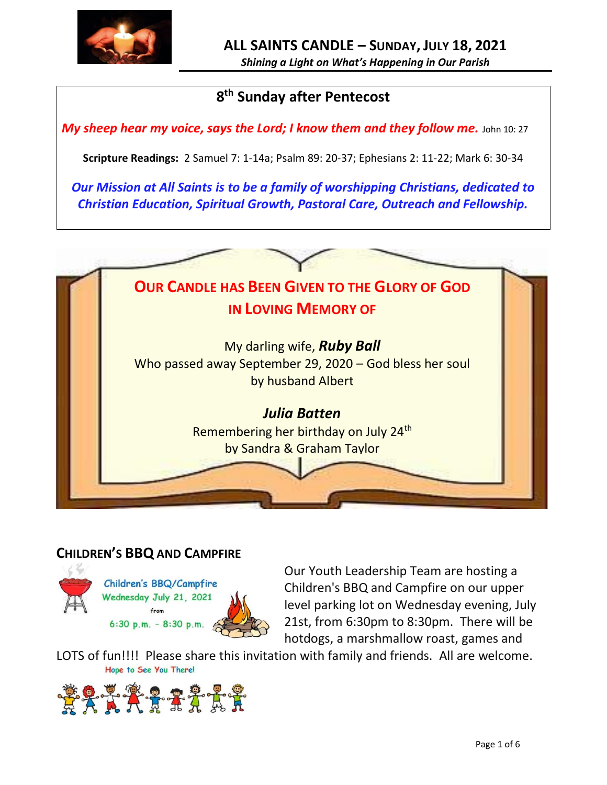

# **8 th Sunday after Pentecost**

*My sheep hear my voice, says the Lord; I know them and they follow me.* **John 10: 27** 

**Scripture Readings:** 2 Samuel 7: 1-14a; Psalm 89: 20-37; Ephesians 2: 11-22; Mark 6: 30-34

*Our Mission at All Saints is to be a family of worshipping Christians, dedicated to Christian Education, Spiritual Growth, Pastoral Care, Outreach and Fellowship.*



#### **CHILDREN'S BBQ AND CAMPFIRE**



Children's BBQ/Campfire Wednesday July 21, 2021 from 6:30 p.m.  $-8:30$  p.m.

Our Youth Leadership Team are hosting a Children's BBQ and Campfire on our upper level parking lot on Wednesday evening, July 21st, from 6:30pm to 8:30pm. There will be hotdogs, a marshmallow roast, games and

LOTS of fun!!!! Please share this invitation with family and friends. All are welcome.<br>Hope to See You There!

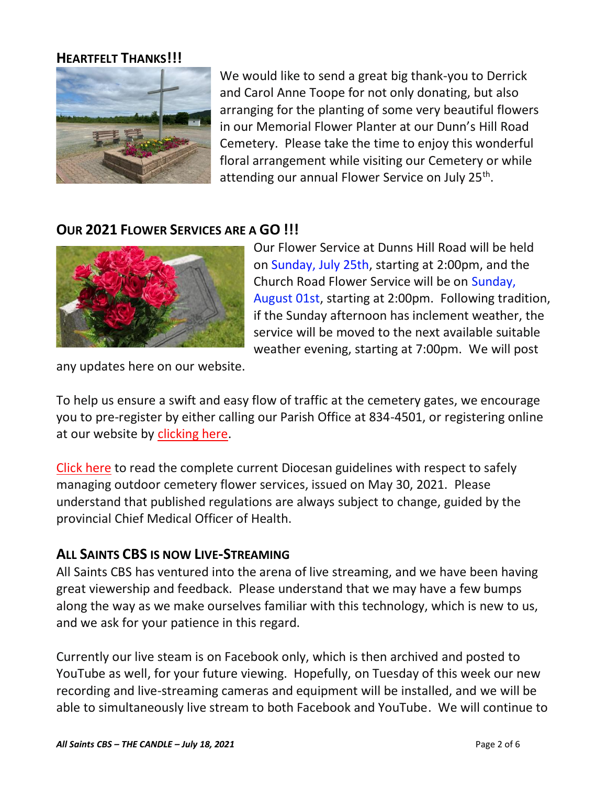#### **HEARTFELT THANKS!!!**



We would like to send a great big thank-you to Derrick and Carol Anne Toope for not only donating, but also arranging for the planting of some very beautiful flowers in our Memorial Flower Planter at our Dunn's Hill Road Cemetery. Please take the time to enjoy this wonderful floral arrangement while visiting our Cemetery or while attending our annual Flower Service on July 25<sup>th</sup>.

## **OUR 2021 FLOWER SERVICES ARE A GO !!!**



Our Flower Service at Dunns Hill Road will be held on Sunday, July 25th, starting at 2:00pm, and the Church Road Flower Service will be on Sunday, August 01st, starting at 2:00pm. Following tradition, if the Sunday afternoon has inclement weather, the service will be moved to the next available suitable weather evening, starting at 7:00pm. We will post

any updates here on our website.

To help us ensure a swift and easy flow of traffic at the cemetery gates, we encourage you to pre-register by either calling our Parish Office at 834-4501, or registering online at our website by [clicking here.](http://allsaintsparish.ca/covid-pre-registration-form_1)

[Click here](https://anglicanenl.net/home/wp-content/uploads/2021/05/Guidelines-for-Outdoor-Flower-services-May-2021.pdf) to read the complete current Diocesan guidelines with respect to safely managing outdoor cemetery flower services, issued on May 30, 2021. Please understand that published regulations are always subject to change, guided by the provincial Chief Medical Officer of Health.

#### **ALL SAINTS CBS IS NOW LIVE-STREAMING**

All Saints CBS has ventured into the arena of live streaming, and we have been having great viewership and feedback. Please understand that we may have a few bumps along the way as we make ourselves familiar with this technology, which is new to us, and we ask for your patience in this regard.

Currently our live steam is on Facebook only, which is then archived and posted to YouTube as well, for your future viewing. Hopefully, on Tuesday of this week our new recording and live-streaming cameras and equipment will be installed, and we will be able to simultaneously live stream to both Facebook and YouTube. We will continue to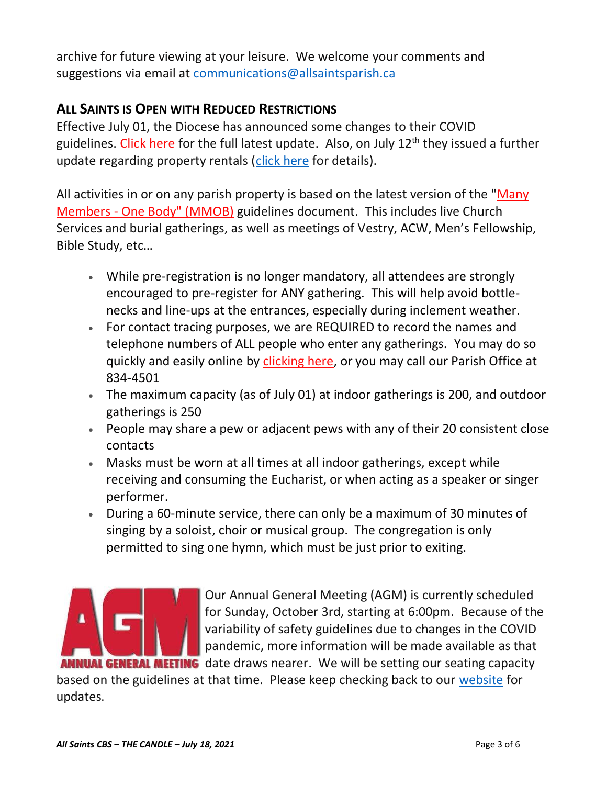archive for future viewing at your leisure. We welcome your comments and suggestions via email at [communications@allsaintsparish.ca](mailto:communications@allsaintsparish.ca)

# **ALL SAINTS IS OPEN WITH REDUCED RESTRICTIONS**

Effective July 01, the Diocese has announced some changes to their COVID guidelines. [Click here](http://allsaintsparish.ca/document_library/COVID-19/210630%20COVID%2019%20Update%20Effective%20July%201.pdf) for the full latest update. Also, on July 12<sup>th</sup> they issued a further update regarding property rentals [\(click here](http://allsaintsparish.ca/document_library/COVID-19/COVID%20Update%20(annotated)%20Diocese%20ENL%20Issued%20210712.pdf) for details).

All activities in or on any parish property is based on the latest version of the "Many Members - [One Body" \(MMOB\)](https://anglicanenl.net/home/wp-content/uploads/2021/02/Many-Members-One-Body-February-2021.pdf) guidelines document. This includes live Church Services and burial gatherings, as well as meetings of Vestry, ACW, Men's Fellowship, Bible Study, etc…

- While pre-registration is no longer mandatory, all attendees are strongly encouraged to pre-register for ANY gathering. This will help avoid bottlenecks and line-ups at the entrances, especially during inclement weather.
- For contact tracing purposes, we are REQUIRED to record the names and telephone numbers of ALL people who enter any gatherings. You may do so quickly and easily online by [clicking here,](http://allsaintsparish.ca/covid-pre-registration-form) or you may call our Parish Office at 834-4501
- The maximum capacity (as of July 01) at indoor gatherings is 200, and outdoor gatherings is 250
- People may share a pew or adjacent pews with any of their 20 consistent close contacts
- Masks must be worn at all times at all indoor gatherings, except while receiving and consuming the Eucharist, or when acting as a speaker or singer performer.
- During a 60-minute service, there can only be a maximum of 30 minutes of singing by a soloist, choir or musical group. The congregation is only permitted to sing one hymn, which must be just prior to exiting.



Our Annual General Meeting (AGM) is currently scheduled for Sunday, October 3rd, starting at 6:00pm. Because of the variability of safety guidelines due to changes in the COVID pandemic, more information will be made available as that **ANNUAL GENERAL MEETING** date draws nearer. We will be setting our seating capacity

based on the guidelines at that time. Please keep checking back to our [website](/Users/ralphfagan/Documents/All%20Saints%20Parish/Candle/ASP%202021%20Candle/allsaintsparish.ca) for updates.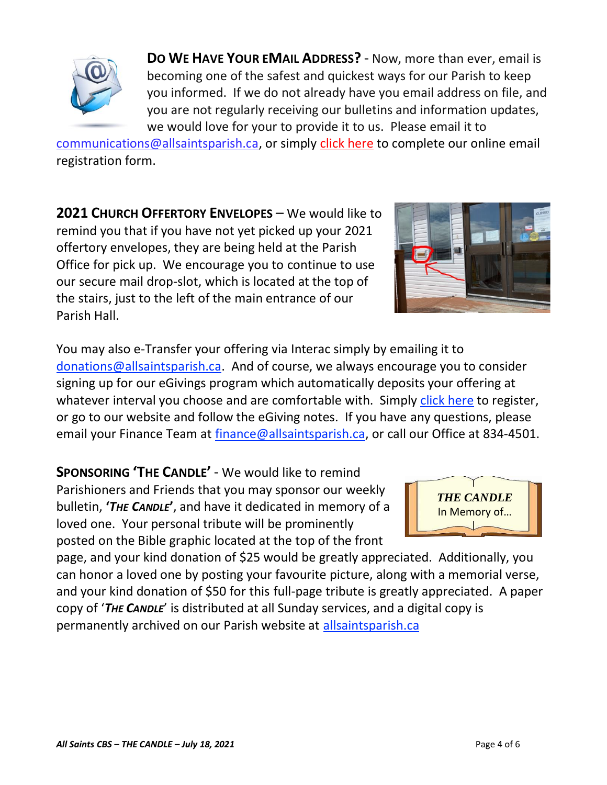**DO WE HAVE YOUR EMAIL ADDRESS?** - Now, more than ever, email is becoming one of the safest and quickest ways for our Parish to keep you informed. If we do not already have you email address on file, and you are not regularly receiving our bulletins and information updates, we would love for your to provide it to us. Please email it to

[communications@allsaintsparish.ca,](mailto:communications@allsaintsparish.ca?subject=eMail%20Address%20Update) or simply [click here](http://allsaintsparish.ca/email_updates) to complete our online email registration form.

**2021 CHURCH OFFERTORY ENVELOPES** – We would like to remind you that if you have not yet picked up your 2021 offertory envelopes, they are being held at the Parish Office for pick up. We encourage you to continue to use our secure mail drop-slot, which is located at the top of the stairs, just to the left of the main entrance of our Parish Hall.

You may also e-Transfer your offering via Interac simply by emailing it to [donations@allsaintsparish.ca.](mailto:donations@allsaintsparish.ca) And of course, we always encourage you to consider signing up for our eGivings program which automatically deposits your offering at whatever interval you choose and are comfortable with. Simply [click here](http://allsaintsparish.ca/egiving-online-information-form) to register, or go to our website and follow the eGiving notes. If you have [any](https://wfsites-to.websitecreatorprotool.com/870a5dd5.com/Admin/%7BSK_NODEID__22939341__SK%7D) questions, please email your Finance Team at [finance@allsaintsparish.ca,](mailto:finance@allsaintsparish.ca) or call our Office at 834-4501.

**SPONSORING 'THE CANDLE'** - We would like to remind Parishioners and Friends that you may sponsor our weekly bulletin, **'***THE CANDLE***'**, and have it dedicated in memory of a loved one. Your personal tribute will be prominently posted on the Bible graphic located at the top of the front

page, and your kind donation of \$25 would be greatly appreciated. Additionally, you can honor a loved one by posting your favourite picture, along with a memorial verse, and your kind donation of \$50 for this full-page tribute is greatly appreciated. A paper copy of '*THE CANDLE*' is distributed at all Sunday services, and a digital copy is permanently archived on our Parish website at [allsaintsparish.ca](http://allsaintsparish.ca/thecandle.html)







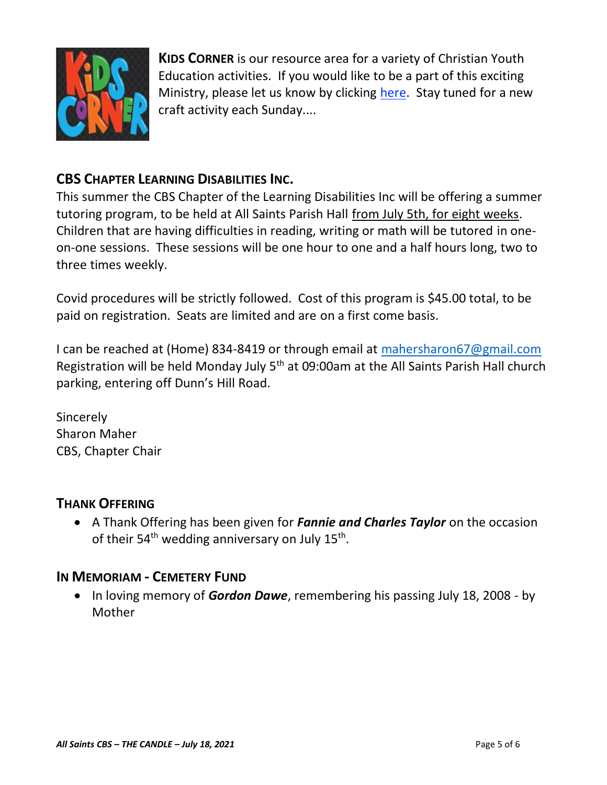

**KIDS CORNER** is our resource area for a variety of Christian Youth Education activities. If you would like to be a part of this exciting Ministry, please let us know by clicking [here.](http://allsaintsparish.ca/index.html#comments) Stay tuned for a new craft activity each Sunday....

## **CBS CHAPTER LEARNING DISABILITIES INC.**

This summer the CBS Chapter of the Learning Disabilities Inc will be offering a summer tutoring program, to be held at All Saints Parish Hall from July 5th, for eight weeks. Children that are having difficulties in reading, writing or math will be tutored in oneon-one sessions. These sessions will be one hour to one and a half hours long, two to three times weekly.

Covid procedures will be strictly followed. Cost of this program is \$45.00 total, to be paid on registration. Seats are limited and are on a first come basis.

I can be reached at (Home) 834-8419 or through email at [mahersharon67@gmail.com](mailto:mahersharon67@gmail.com) Registration will be held Monday July 5<sup>th</sup> at 09:00am at the All Saints Parish Hall church parking, entering off Dunn's Hill Road.

Sincerely Sharon Maher CBS, Chapter Chair

#### **THANK OFFERING**

• A Thank Offering has been given for *Fannie and Charles Taylor* on the occasion of their 54<sup>th</sup> wedding anniversary on July 15<sup>th</sup>.

#### **IN MEMORIAM - CEMETERY FUND**

• In loving memory of *Gordon Dawe*, remembering his passing July 18, 2008 - by Mother